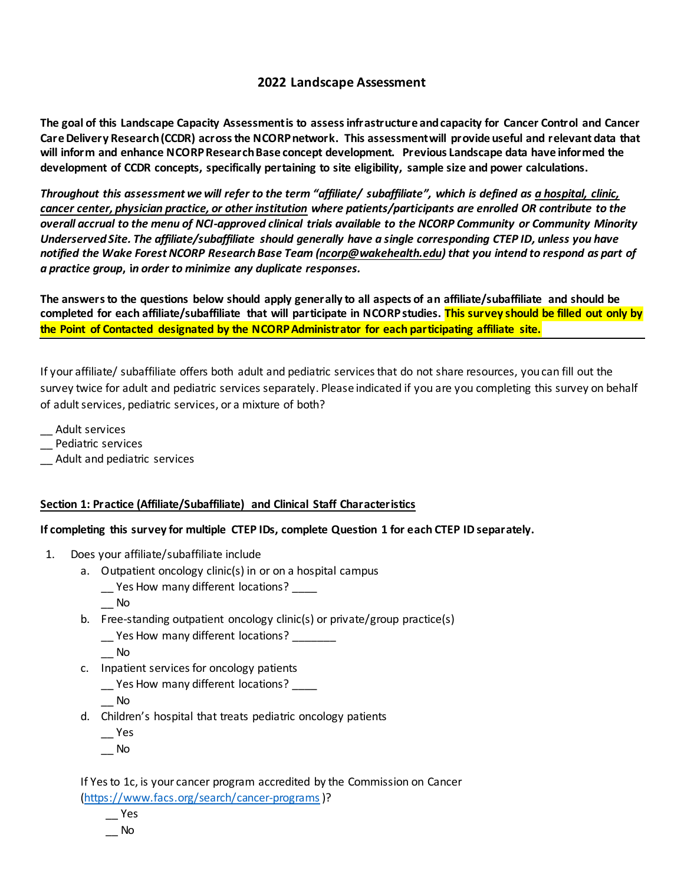# **2022 Landscape Assessment**

**The goal of this Landscape Capacity Assessment is to assess infrastructure and capacity for Cancer Control and Cancer Care Delivery Research (CCDR) across the NCORP network. This assessment will provide useful and relevant data that will inform and enhance NCORP Research Base concept development. Previous Landscape data have informed the development of CCDR concepts, specifically pertaining to site eligibility, sample size and power calculations.**

*Throughout this assessment we will refer to the term "affiliate/ subaffiliate", which is defined as a hospital, clinic, cancer center, physician practice, or other institution where patients/participants are enrolled OR contribute to the overall accrual to the menu of NCI-approved clinical trials available to the NCORP Community or Community Minority Underserved Site. The affiliate/subaffiliate should generally have a single corresponding CTEP ID, unless you have notified the Wake Forest NCORP Research Base Team [\(ncorp@wakehealth.edu\)](mailto:ncorp@wakehealth.edu) that you intend to respond as part of a practice group***, i***n order to minimize any duplicate responses.*

**The answers to the questions below should apply generally to all aspects of an affiliate/subaffiliate and should be completed for each affiliate/subaffiliate that will participate in NCORP studies. This survey should be filled out only by the Point of Contacted designated by the NCORP Administrator for each participating affiliate site.**

If your affiliate/ subaffiliate offers both adult and pediatric services that do not share resources, you can fill out the survey twice for adult and pediatric services separately. Please indicated if you are you completing this survey on behalf of adult services, pediatric services, or a mixture of both?

\_\_ Adult services

\_\_ Pediatric services

\_\_ Adult and pediatric services

### **Section 1: Practice (Affiliate/Subaffiliate) and Clinical Staff Characteristics**

**If completing this survey for multiple CTEP IDs, complete Question 1 for each CTEP ID separately.**

- 1. Does your affiliate/subaffiliate include
	- a. Outpatient oncology clinic(s) in or on a hospital campus
		- \_\_ Yes How many different locations? \_\_\_\_
		- \_\_ No
	- b. Free-standing outpatient oncology clinic(s) or private/group practice(s)

\_\_ Yes How many different locations? \_\_\_\_\_\_\_

\_\_ No

- c. Inpatient services for oncology patients
	- \_\_ Yes How many different locations? \_\_\_\_

\_\_ No

- d. Children's hospital that treats pediatric oncology patients
	- $\overline{\phantom{a}}$  Yes
	- \_\_ No

If Yes to 1c, is your cancer program accredited by the Commission on Cancer [\(https://www.facs.org/search/cancer-programs](https://www.facs.org/search/cancer-programs))?

\_\_ Yes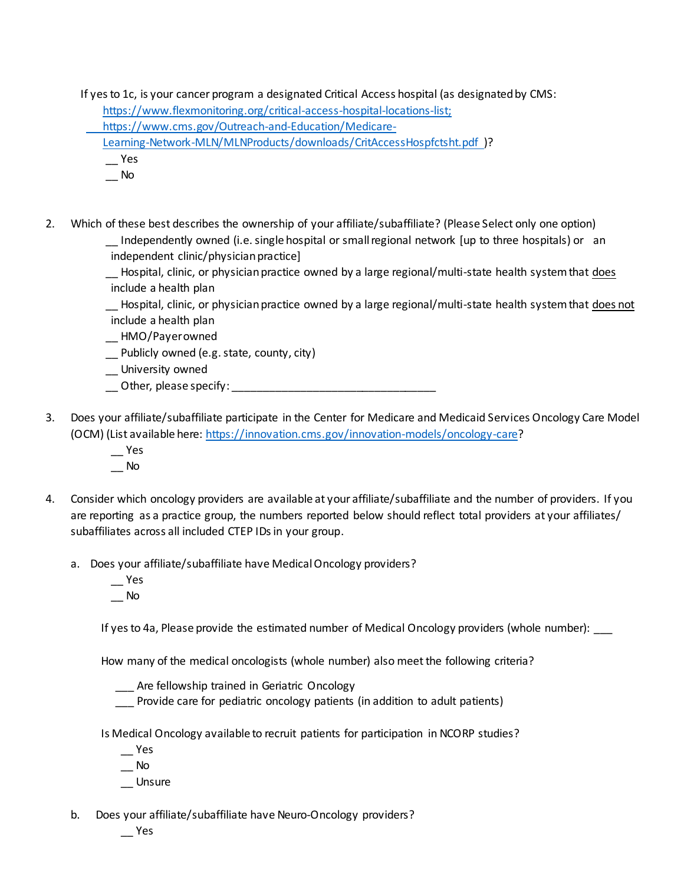If yes to 1c, is your cancer program a designated Critical Access hospital (as designated by CMS:

[https://www.flexmonitoring.org/critical-access-hospital-locations-list;](https://www.flexmonitoring.org/critical-access-hospital-locations-list)

[https://www.cms.gov/Outreach-and-Education/Medicare-](https://www.cms.gov/Outreach-and-Education/Medicare-%20%20%20%20%20%20%20%20Learning-Network-MLN/MLNProducts/downloads/CritAccessHospfctsht.pdf) 

 [Learning-Network-MLN/MLNProducts/downloads/CritAccessHospfctsht.pdf](https://www.cms.gov/Outreach-and-Education/Medicare-%20%20%20%20%20%20%20%20Learning-Network-MLN/MLNProducts/downloads/CritAccessHospfctsht.pdf) )?

- \_\_ Yes
- \_\_ No
- 2. Which of these best describes the ownership of your affiliate/subaffiliate? (Please Select only one option)
	- Independently owned (i.e. single hospital or small regional network [up to three hospitals) or an independent clinic/physician practice]
	- \_\_ Hospital, clinic, or physician practice owned by a large regional/multi-state health system that does include a health plan
	- \_\_ Hospital, clinic, or physician practice owned by a large regional/multi-state health system that does not include a health plan
	- \_\_ HMO/Payer owned
	- \_\_ Publicly owned (e.g. state, county, city)
	- \_\_ University owned
	- \_\_ Other, please specify: \_\_\_\_\_\_\_\_\_\_\_\_\_\_\_\_\_\_\_\_\_\_\_\_\_\_\_\_\_\_\_\_\_
- 3. Does your affiliate/subaffiliate participate in the Center for Medicare and Medicaid Services Oncology Care Model (OCM) (List available here:<https://innovation.cms.gov/innovation-models/oncology-care>?
	- $-$  Yes \_\_ No
- 4. Consider which oncology providers are available at your affiliate/subaffiliate and the number of providers. If you are reporting as a practice group, the numbers reported below should reflect total providers at your affiliates/ subaffiliates across all included CTEP IDs in your group.
	- a. Does your affiliate/subaffiliate have Medical Oncology providers?
		- \_\_ Yes \_\_ No

If yes to 4a, Please provide the estimated number of Medical Oncology providers (whole number):

How many of the medical oncologists (whole number) also meet the following criteria?

Are fellowship trained in Geriatric Oncology

Provide care for pediatric oncology patients (in addition to adult patients)

Is Medical Oncology available to recruit patients for participation in NCORP studies?

- \_\_ Yes
- $\overline{\phantom{a}}$  No
- \_\_ Unsure
- b. Does your affiliate/subaffiliate have Neuro-Oncology providers?
	- \_\_ Yes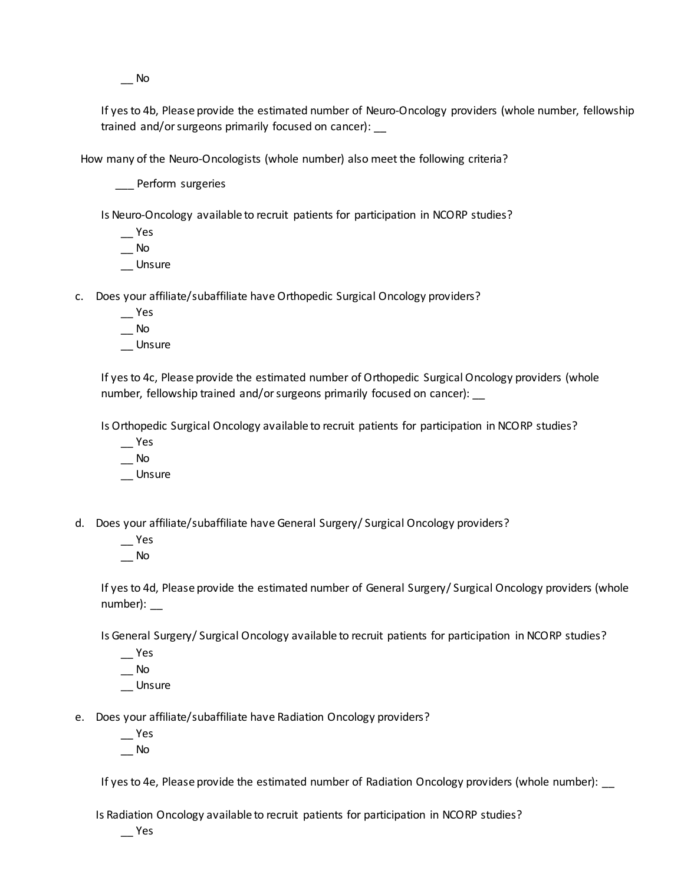\_\_ No

If yesto 4b, Please provide the estimated number of Neuro-Oncology providers (whole number, fellowship trained and/or surgeons primarily focused on cancer): \_\_

How many of the Neuro-Oncologists (whole number) also meet the following criteria?

\_\_\_ Perform surgeries

Is Neuro-Oncology available to recruit patients for participation in NCORP studies?

- \_\_ Yes  $\overline{\phantom{0}}$  No
- \_\_ Unsure

c. Does your affiliate/subaffiliate have Orthopedic Surgical Oncology providers?

- \_\_ Yes
- $\overline{\phantom{0}}$  No
- \_\_ Unsure

If yes to 4c, Please provide the estimated number of Orthopedic Surgical Oncology providers (whole number, fellowship trained and/or surgeons primarily focused on cancer):

Is Orthopedic Surgical Oncology available to recruit patients for participation in NCORP studies?

- \_\_ Yes
- \_\_ No
- \_\_ Unsure
- d. Does your affiliate/subaffiliate have General Surgery/ Surgical Oncology providers?
	- \_\_ Yes  $\overline{\phantom{a}}$  No

If yesto 4d, Please provide the estimated number of General Surgery/ Surgical Oncology providers (whole number): \_\_

Is General Surgery/ Surgical Oncology available to recruit patients for participation in NCORP studies?

- $\overline{\phantom{a}}$  Yes
- $\equiv$  No \_\_ Unsure
- e. Does your affiliate/subaffiliate have Radiation Oncology providers?
	- \_\_ Yes
	- $\overline{\phantom{0}}$  No

If yes to 4e, Please provide the estimated number of Radiation Oncology providers (whole number): \_\_

Is Radiation Oncology available to recruit patients for participation in NCORP studies?

\_\_ Yes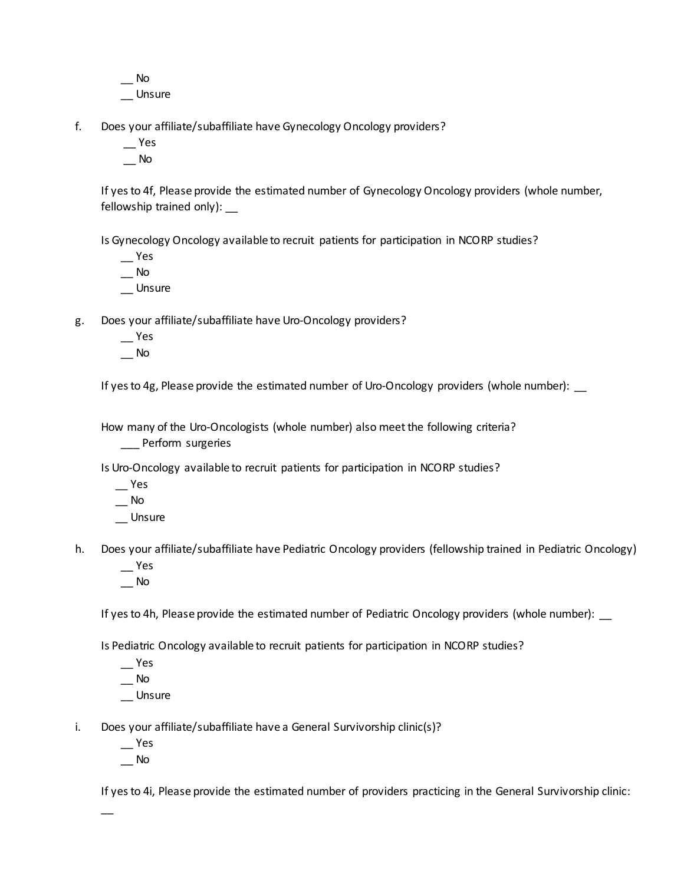$\equiv$  No \_\_ Unsure

- f. Does your affiliate/subaffiliate have Gynecology Oncology providers?
	- \_\_ Yes
	- $\overline{\phantom{a}}$  No

If yesto 4f, Please provide the estimated number of Gynecology Oncology providers (whole number, fellowship trained only):

Is Gynecology Oncology available to recruit patients for participation in NCORP studies?

 $\equiv$ Yes

 $\equiv$  No

\_\_ Unsure

g. Does your affiliate/subaffiliate have Uro-Oncology providers?

- $\overline{\phantom{a}}$  Yes
- $\equiv$  No

If yes to 4g, Please provide the estimated number of Uro-Oncology providers (whole number): \_

How many of the Uro-Oncologists (whole number) also meet the following criteria?

\_\_\_ Perform surgeries

Is Uro-Oncology available to recruit patients for participation in NCORP studies?

- \_\_ Yes
- \_\_ No
- \_\_ Unsure
- h. Does your affiliate/subaffiliate have Pediatric Oncology providers (fellowship trained in Pediatric Oncology) \_\_ Yes
	- $\overline{\phantom{a}}$  No

If yes to 4h, Please provide the estimated number of Pediatric Oncology providers (whole number): \_

Is Pediatric Oncology available to recruit patients for participation in NCORP studies?

- $\overline{\phantom{a}}$  Yes  $\overline{\phantom{0}}$  No
- \_\_ Unsure
- i. Does your affiliate/subaffiliate have a General Survivorship clinic(s)?
	- \_\_ Yes
	- $\overline{\phantom{0}}$  No

 $\overline{\phantom{a}}$ 

If yesto 4i, Please provide the estimated number of providers practicing in the General Survivorship clinic: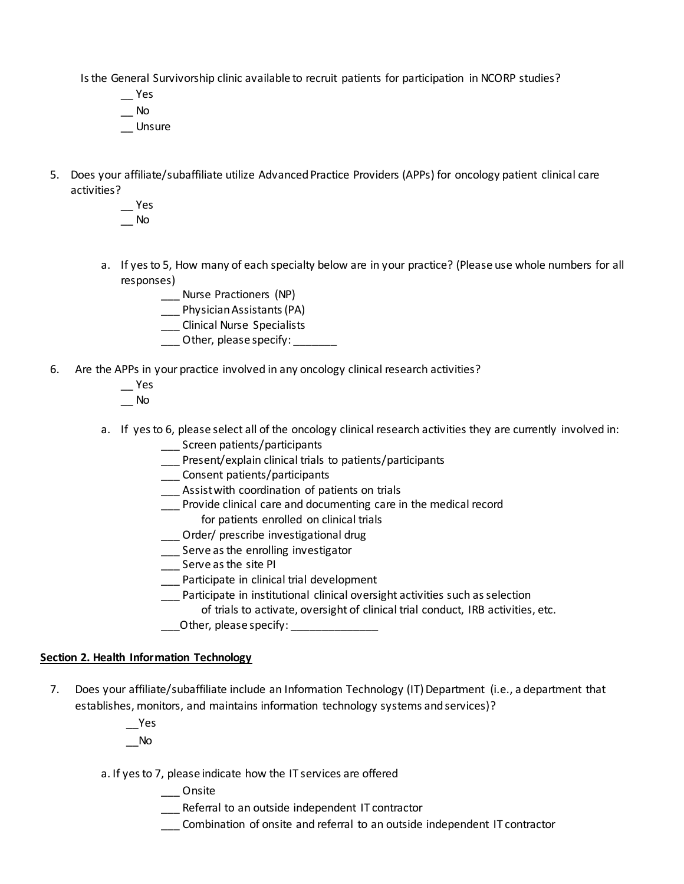Is the General Survivorship clinic available to recruit patients for participation in NCORP studies?

- \_\_ Yes  $\equiv$  No \_\_ Unsure
- 5. Does your affiliate/subaffiliate utilize Advanced Practice Providers (APPs) for oncology patient clinical care activities?
	- $\equiv$  Yes \_\_ No
	- a. If yes to 5, How many of each specialty below are in your practice? (Please use whole numbers for all responses)
		- \_\_\_ Nurse Practioners (NP)
		- \_\_\_ Physician Assistants (PA)
		- \_\_\_ Clinical Nurse Specialists
		- \_\_\_ Other, please specify: \_\_\_\_\_\_\_
- 6. Are the APPs in your practice involved in any oncology clinical research activities?
	- \_\_ Yes
	- $\equiv$  No
	- a. If yes to 6, please select all of the oncology clinical research activities they are currently involved in:
		- \_\_\_ Screen patients/participants
		- \_\_\_ Present/explain clinical trials to patients/participants
		- \_\_\_ Consent patients/participants
		- \_\_\_ Assist with coordination of patients on trials
		- \_\_\_ Provide clinical care and documenting care in the medical record
			- for patients enrolled on clinical trials
		- \_\_\_ Order/ prescribe investigational drug
		- \_\_\_ Serve as the enrolling investigator
		- \_\_\_ Serve as the site PI
		- \_\_\_ Participate in clinical trial development
		- \_\_\_ Participate in institutional clinical oversight activities such as selection
			- of trials to activate, oversight of clinical trial conduct, IRB activities, etc.
		- \_\_\_Other, please specify: \_\_\_\_\_\_\_\_\_\_\_\_\_\_

### **Section 2. Health Information Technology**

- 7. Does your affiliate/subaffiliate include an Information Technology (IT) Department (i.e., a department that establishes, monitors, and maintains information technology systems and services)?
	- \_\_Yes \_\_No
	- a. If yes to 7, please indicate how the IT services are offered
		- \_\_\_ Onsite
		- \_\_\_ Referral to an outside independent IT contractor
		- \_\_\_ Combination of onsite and referral to an outside independent IT contractor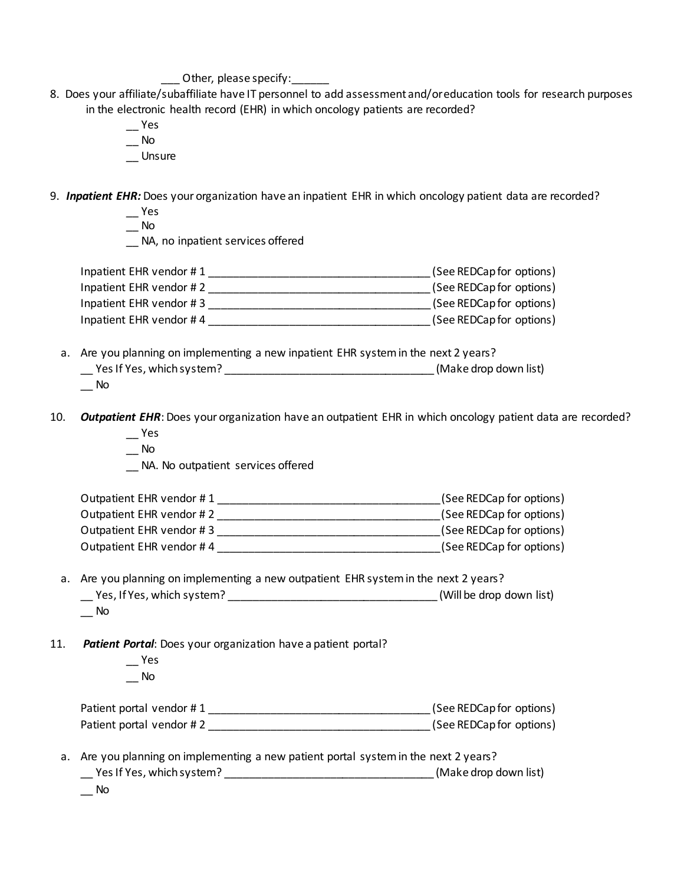Other, please specify:

- 8. Does your affiliate/subaffiliate have IT personnel to add assessment and/or education tools for research purposes in the electronic health record (EHR) in which oncology patients are recorded?
	- \_\_ Yes
	- $\overline{\phantom{0}}$  No
	- \_\_ Unsure
- 9. *Inpatient EHR:* Does your organization have an inpatient EHR in which oncology patient data are recorded?
	- \_\_ Yes
	- $\equiv$  No

\_\_ NA, no inpatient services offered

| Inpatient EHR vendor #1 | (See REDCap for options) |
|-------------------------|--------------------------|
| Inpatient EHR vendor #2 | (See REDCap for options) |
| Inpatient EHR vendor #3 | (See REDCap for options) |
| Inpatient EHR vendor #4 | (See REDCap for options) |

- a. Are you planning on implementing a new inpatient EHR system in the next 2 years? \_\_ Yes If Yes, which system? \_\_\_\_\_\_\_\_\_\_\_\_\_\_\_\_\_\_\_\_\_\_\_\_\_\_\_\_\_\_\_\_\_\_ (Make drop down list) \_\_ No
- 10. **Outpatient EHR**: Does your organization have an outpatient EHR in which oncology patient data are recorded? \_\_ Yes
	- $\equiv$  No
	- \_\_ NA. No outpatient services offered

| Outpatient EHR vendor #1 | (See REDCap for options) |
|--------------------------|--------------------------|
| Outpatient EHR vendor #2 | (See REDCap for options) |
| Outpatient EHR vendor #3 | (See REDCap for options) |
| Outpatient EHR vendor #4 | (See REDCap for options) |

- a. Are you planning on implementing a new outpatient EHR system in the next 2 years? \_\_ Yes, If Yes, which system? \_\_\_\_\_\_\_\_\_\_\_\_\_\_\_\_\_\_\_\_\_\_\_\_\_\_\_\_\_\_\_\_\_\_ (Will be drop down list)  $\overline{\phantom{0}}$  No
- 11. *Patient Portal*: Does your organization have a patient portal?
	- \_\_ Yes  $\overline{\phantom{a}}$  No

| Patient portal vendor #1 | (See REDCap for options) |
|--------------------------|--------------------------|
| Patient portal vendor #2 | (See REDCap for options) |

- a. Are you planning on implementing a new patient portal system in the next 2 years? \_\_ Yes If Yes, which system? \_\_\_\_\_\_\_\_\_\_\_\_\_\_\_\_\_\_\_\_\_\_\_\_\_\_\_\_\_\_\_\_\_\_ (Make drop down list)
	- $\overline{\phantom{a}}$  No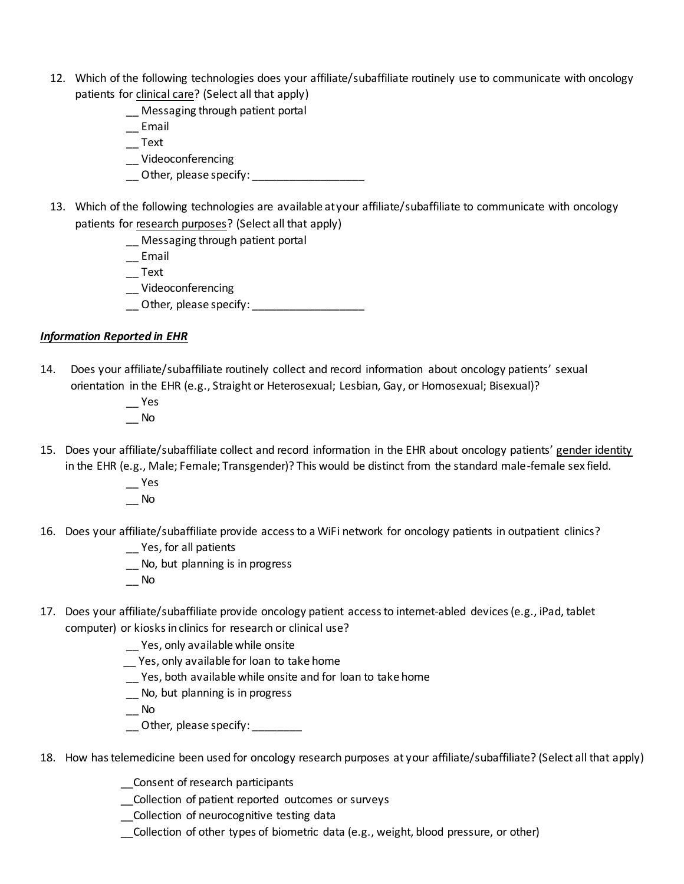- 12. Which of the following technologies does your affiliate/subaffiliate routinely use to communicate with oncology patients for clinical care? (Select all that apply)
	- \_\_ Messaging through patient portal
	- \_\_ Email
	- $\overline{\phantom{a}}$  Text
	- \_\_ Videoconferencing
	- \_\_ Other, please specify: \_\_\_\_\_\_\_\_\_\_\_\_\_\_\_\_\_\_
- 13. Which of the following technologies are available at your affiliate/subaffiliate to communicate with oncology patients for research purposes? (Select all that apply)
	- \_\_ Messaging through patient portal
	- \_\_ Email
	- $\overline{\phantom{a}}$  Text
	- \_\_ Videoconferencing
	- \_\_ Other, please specify: \_\_\_\_\_\_\_\_\_\_\_\_\_\_\_\_\_\_\_\_\_\_

### *Information Reported in EHR*

- 14. Does your affiliate/subaffiliate routinely collect and record information about oncology patients' sexual orientation in the EHR (e.g., Straight or Heterosexual; Lesbian, Gay, or Homosexual; Bisexual)?
	- \_\_ Yes
	- $\overline{\phantom{a}}$  No
- 15. Does your affiliate/subaffiliate collect and record information in the EHR about oncology patients' gender identity in the EHR (e.g., Male; Female; Transgender)? This would be distinct from the standard male-female sex field.
	- \_\_ Yes  $\overline{\phantom{0}}$  No
- 16. Does your affiliate/subaffiliate provide access to a WiFi network for oncology patients in outpatient clinics?
	- \_\_ Yes, for all patients
	- \_\_ No, but planning is in progress
	- $\overline{\phantom{a}}$  No
- 17. Does your affiliate/subaffiliate provide oncology patient access to internet-abled devices (e.g., iPad, tablet computer) or kiosks in clinics for research or clinical use?
	- \_\_ Yes, only available while onsite
	- \_\_ Yes, only available for loan to take home
	- \_\_ Yes, both available while onsite and for loan to take home
	- \_\_ No, but planning is in progress
	- $\equiv$  No
	- Other, please specify:
- 18. How has telemedicine been used for oncology research purposes at your affiliate/subaffiliate? (Select all that apply)
	- \_\_Consent of research participants
	- \_\_Collection of patient reported outcomes or surveys
	- \_\_Collection of neurocognitive testing data
	- \_\_Collection of other types of biometric data (e.g., weight, blood pressure, or other)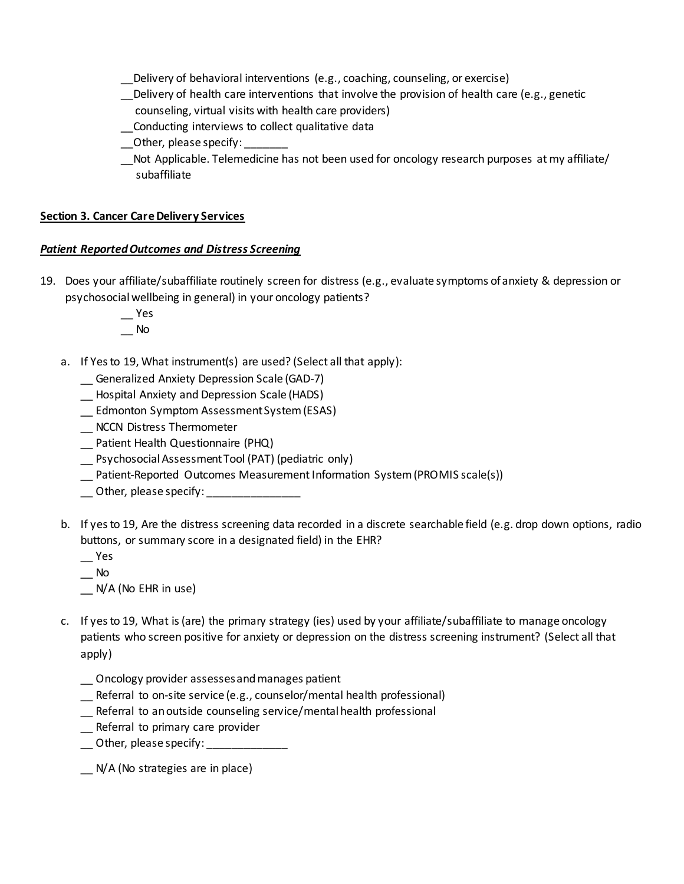- \_\_Delivery of behavioral interventions (e.g., coaching, counseling, or exercise)
- \_\_Delivery of health care interventions that involve the provision of health care (e.g., genetic
	- counseling, virtual visits with health care providers)
- \_\_Conducting interviews to collect qualitative data
- Other, please specify:
- Not Applicable. Telemedicine has not been used for oncology research purposes at my affiliate/ subaffiliate

### **Section 3. Cancer Care Delivery Services**

### *Patient Reported Outcomes and Distress Screening*

- 19. Does your affiliate/subaffiliate routinely screen for distress (e.g., evaluate symptoms of anxiety & depression or psychosocial wellbeing in general) in your oncology patients?
	- $\equiv$ Yes  $\overline{\phantom{0}}$  No
	- a. If Yes to 19, What instrument(s) are used? (Select all that apply):
		- \_\_ Generalized Anxiety Depression Scale (GAD-7)
		- \_\_ Hospital Anxiety and Depression Scale (HADS)
		- \_\_ Edmonton Symptom Assessment System (ESAS)
		- \_\_ NCCN Distress Thermometer
		- \_\_ Patient Health Questionnaire (PHQ)
		- \_\_ Psychosocial Assessment Tool (PAT) (pediatric only)
		- \_\_ Patient-Reported Outcomes Measurement Information System (PROMIS scale(s))
		- \_\_ Other, please specify: \_\_\_\_\_\_\_\_\_\_\_\_\_\_\_
	- b. If yes to 19, Are the distress screening data recorded in a discrete searchable field (e.g. drop down options, radio buttons, or summary score in a designated field) in the EHR?
		- \_\_ Yes
		- $\overline{\phantom{a}}$  No
		- \_\_ N/A (No EHR in use)
	- c. If yes to 19, What is (are) the primary strategy (ies) used by your affiliate/subaffiliate to manage oncology patients who screen positive for anxiety or depression on the distress screening instrument? (Select all that apply)
		- \_\_ Oncology provider assesses and manages patient
		- \_\_ Referral to on-site service (e.g., counselor/mental health professional)
		- \_\_ Referral to an outside counseling service/mental health professional
		- \_\_ Referral to primary care provider
		- \_\_ Other, please specify: \_\_\_\_\_\_\_\_\_\_\_\_\_
		- \_\_ N/A (No strategies are in place)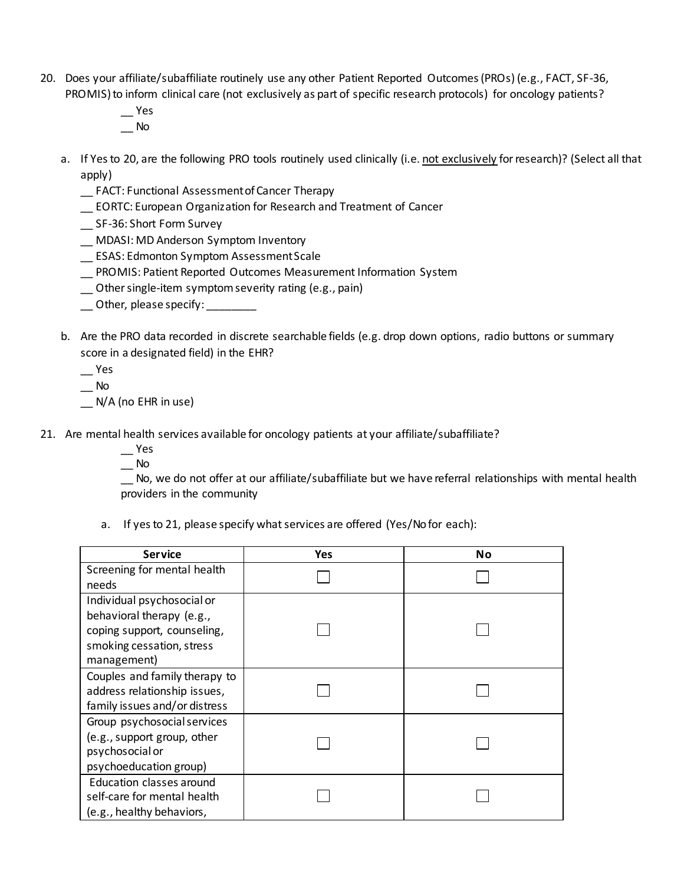- 20. Does your affiliate/subaffiliate routinely use any other Patient Reported Outcomes (PROs) (e.g., FACT, SF-36, PROMIS) to inform clinical care (not exclusively as part of specific research protocols) for oncology patients?
	- $\overline{\phantom{a}}$  Yes  $\sqrt{a}$  No
	- a. If Yesto 20, are the following PRO tools routinely used clinically (i.e. not exclusively for research)? (Select all that apply)
		- \_\_ FACT: Functional Assessment of Cancer Therapy
		- \_\_ EORTC: European Organization for Research and Treatment of Cancer
		- \_\_ SF-36: Short Form Survey
		- \_\_ MDASI: MD Anderson Symptom Inventory
		- \_\_ ESAS: Edmonton Symptom Assessment Scale
		- \_\_ PROMIS: Patient Reported Outcomes Measurement Information System
		- \_\_ Other single-item symptom severity rating (e.g., pain)
		- \_\_ Other, please specify: \_\_\_\_\_\_\_\_
	- b. Are the PRO data recorded in discrete searchable fields (e.g. drop down options, radio buttons or summary score in a designated field) in the EHR?
		- \_\_ Yes
		- $\equiv$  No
		- \_\_ N/A (no EHR in use)
- 21. Are mental health services available for oncology patients at your affiliate/subaffiliate?
	- \_\_ Yes
	- $\overline{\phantom{0}}$  No

\_\_ No, we do not offer at our affiliate/subaffiliate but we have referral relationships with mental health providers in the community

a. If yesto 21, please specify what services are offered (Yes/No for each):

| <b>Service</b>                | Yes | Νo |
|-------------------------------|-----|----|
| Screening for mental health   |     |    |
| needs                         |     |    |
| Individual psychosocial or    |     |    |
| behavioral therapy (e.g.,     |     |    |
| coping support, counseling,   |     |    |
| smoking cessation, stress     |     |    |
| management)                   |     |    |
| Couples and family therapy to |     |    |
| address relationship issues,  |     |    |
| family issues and/or distress |     |    |
| Group psychosocial services   |     |    |
| (e.g., support group, other   |     |    |
| psychosocial or               |     |    |
| psychoeducation group)        |     |    |
| Education classes around      |     |    |
| self-care for mental health   |     |    |
| (e.g., healthy behaviors,     |     |    |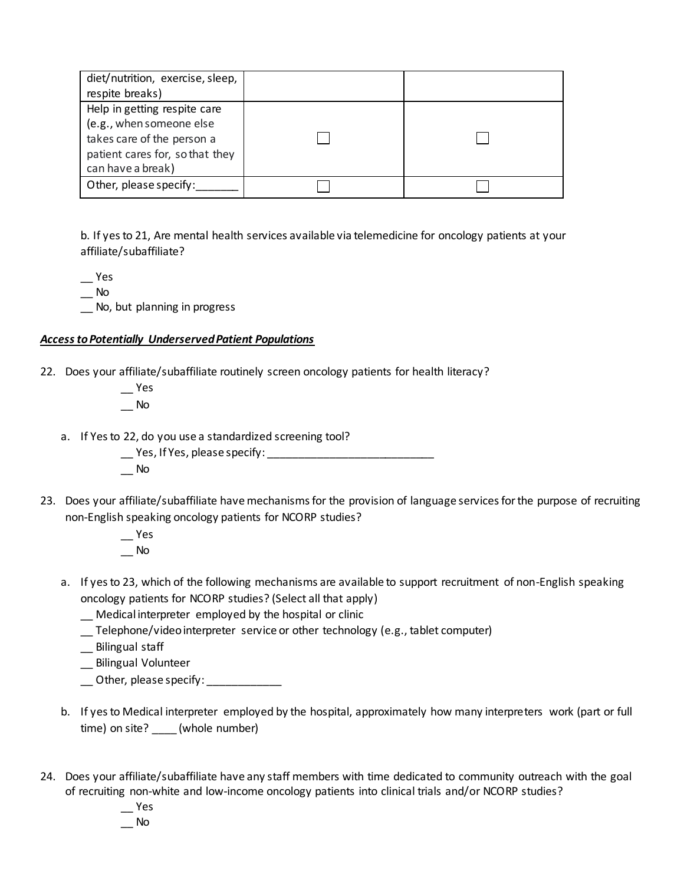| diet/nutrition, exercise, sleep, |  |
|----------------------------------|--|
| respite breaks)                  |  |
| Help in getting respite care     |  |
| (e.g., when someone else         |  |
| takes care of the person a       |  |
| patient cares for, so that they  |  |
| can have a break)                |  |
| Other, please specify:           |  |

b. If yesto 21, Are mental health services available via telemedicine for oncology patients at your affiliate/subaffiliate?

\_\_ Yes

 $\equiv$  No

\_\_ No, but planning in progress

### *Access to Potentially Underserved Patient Populations*

- 22. Does your affiliate/subaffiliate routinely screen oncology patients for health literacy?
	- \_\_ Yes  $\overline{\phantom{0}}$  No
	- a. If Yes to 22, do you use a standardized screening tool?

\_\_ Yes, If Yes, please specify: \_\_\_\_\_\_\_\_\_\_\_\_\_\_\_\_\_\_\_\_\_\_\_\_\_\_\_

- \_\_ No
- 23. Does your affiliate/subaffiliate have mechanisms for the provision of language services for the purpose of recruiting non-English speaking oncology patients for NCORP studies?
	- $-$  Yes  $\overline{\phantom{0}}$  No
	- a. If yesto 23, which of the following mechanisms are available to support recruitment of non-English speaking oncology patients for NCORP studies? (Select all that apply)
		- \_\_ Medical interpreter employed by the hospital or clinic
		- \_\_ Telephone/video interpreter service or other technology (e.g., tablet computer)
		- \_\_ Bilingual staff
		- \_\_ Bilingual Volunteer
		- \_\_ Other, please specify: \_\_\_\_\_\_\_\_\_\_\_\_\_
	- b. If yes to Medical interpreter employed by the hospital, approximately how many interpreters work (part or full time) on site? \_\_\_\_ (whole number)
- 24. Does your affiliate/subaffiliate have any staff members with time dedicated to community outreach with the goal of recruiting non-white and low-income oncology patients into clinical trials and/or NCORP studies?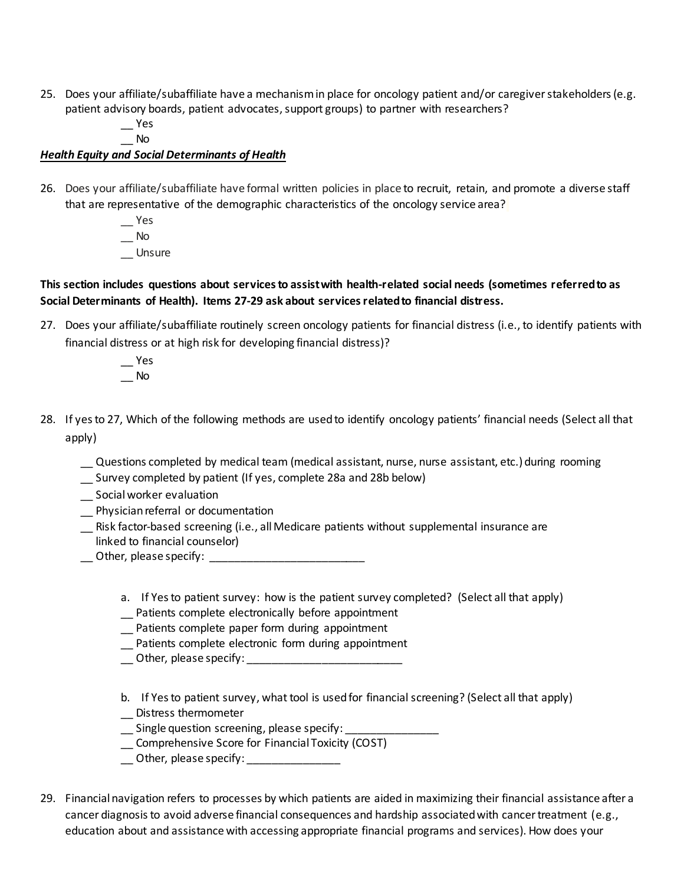- 25. Does your affiliate/subaffiliate have a mechanism in place for oncology patient and/or caregiver stakeholders (e.g. patient advisory boards, patient advocates, support groups) to partner with researchers?
	- $\overline{\phantom{a}}$  Yes
	- \_\_ No

### *Health Equity and Social Determinants of Health*

- 26. Does your affiliate/subaffiliate have formal written policies in place to recruit, retain, and promote a diverse staff that are representative of the demographic characteristics of the oncology service area?
	- \_\_ Yes  $\equiv$  No \_\_ Unsure

### **This section includes questions about services to assist with health-related social needs (sometimes referred to as Social Determinants of Health). Items 27-29 ask about services related to financial distress.**

- 27. Does your affiliate/subaffiliate routinely screen oncology patients for financial distress (i.e., to identify patients with financial distress or at high risk for developing financial distress)?
	- \_\_ Yes  $\overline{\phantom{0}}$  No
- 28. If yes to 27, Which of the following methods are used to identify oncology patients' financial needs (Select all that apply)
	- \_\_ Questions completed by medical team (medical assistant, nurse, nurse assistant, etc.) during rooming
	- Survey completed by patient (If yes, complete 28a and 28b below)
	- \_\_ Social worker evaluation
	- \_\_ Physician referral or documentation
	- \_\_ Risk factor-based screening (i.e., all Medicare patients without supplemental insurance are linked to financial counselor)
	- \_\_ Other, please specify: \_\_\_\_\_\_\_\_\_\_\_\_\_\_\_\_\_\_\_\_\_\_\_\_\_
		- a. If Yes to patient survey: how is the patient survey completed? (Select all that apply)
		- \_\_ Patients complete electronically before appointment
		- \_\_ Patients complete paper form during appointment
		- \_\_ Patients complete electronic form during appointment
		- \_\_ Other, please specify: \_\_\_\_\_\_\_\_\_\_\_\_\_\_\_\_\_\_\_\_\_\_\_\_\_
		- b. If Yes to patient survey, what tool is used for financial screening? (Select all that apply) \_\_ Distress thermometer
		- \_\_ Single question screening, please specify: \_\_\_\_\_\_\_\_\_\_\_\_\_\_\_
		- \_\_ Comprehensive Score for Financial Toxicity (COST)
		- \_\_ Other, please specify: \_\_\_\_\_\_\_\_\_\_\_\_\_\_\_\_\_
- 29. Financial navigation refers to processes by which patients are aided in maximizing their financial assistance after a cancer diagnosis to avoid adverse financial consequences and hardship associated with cancer treatment (e.g., education about and assistance with accessing appropriate financial programs and services). How does your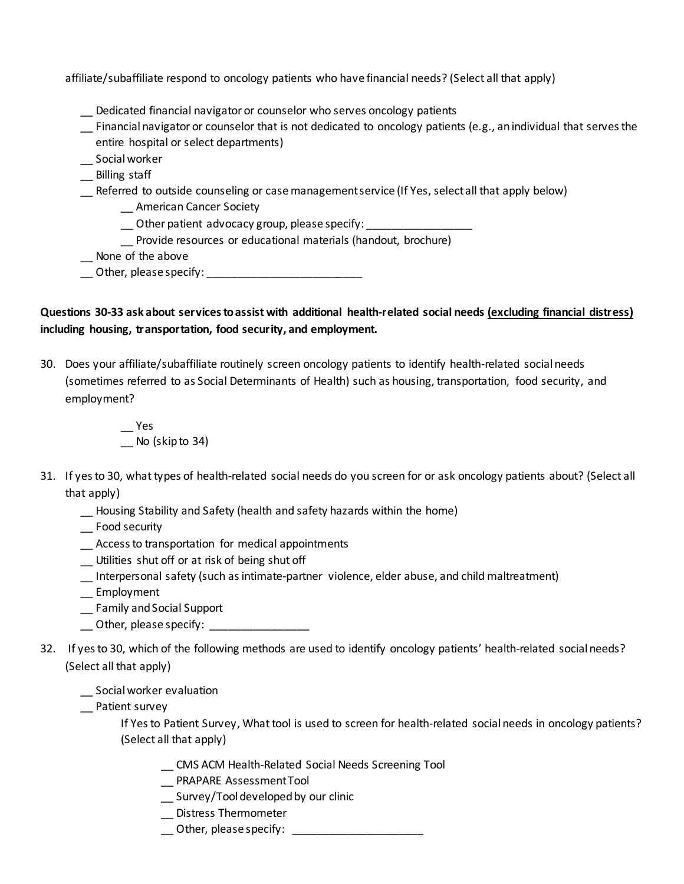affiliate/subaffiliate respond to oncology patients who have financial needs? (Select all that apply)

- \_\_ Dedicated financial navigator or counselor who serves oncology patients
- \_\_ Financial navigator or counselor that is not dedicated to oncology patients (e.g., an individual that serves the entire hospital or select departments)
- \_\_ Social worker
- \_\_ Billing staff
- \_\_ Referred to outside counseling or case management service (If Yes, select all that apply below)
	- \_\_ American Cancer Society
	- \_\_ Other patient advocacy group, please specify: \_\_\_\_\_\_\_\_\_\_\_\_\_\_\_\_\_
	- Provide resources or educational materials (handout, brochure)
- \_\_ None of the above
- \_\_ Other, please specify: \_\_\_\_\_\_\_\_\_\_\_\_\_\_\_\_\_\_\_\_\_\_\_\_\_

### **Questions 30-33 ask about services to assist with additional health-related social needs (excluding financial distress) including housing, transportation, food security, and employment.**

30. Does your affiliate/subaffiliate routinely screen oncology patients to identify health-related social needs (sometimes referred to as Social Determinants of Health) such as housing, transportation, food security, and employment?

> $\overline{\phantom{a}}$  Yes \_\_ No (skip to 34)

- 31. If yes to 30, what types of health-related social needs do you screen for or ask oncology patients about? (Select all that apply)
	- \_\_ Housing Stability and Safety (health and safety hazards within the home)
	- \_\_ Food security
	- \_\_ Access to transportation for medical appointments
	- \_\_ Utilities shut off or at risk of being shut off
	- \_\_ Interpersonal safety (such as intimate-partner violence, elder abuse, and child maltreatment)
	- \_\_ Employment
	- \_\_ Family and Social Support
	- \_\_ Other, please specify: \_\_\_\_\_\_\_\_\_\_\_\_\_\_\_\_
- 32. If yes to 30, which of the following methods are used to identify oncology patients' health-related social needs? (Select all that apply)
	- \_\_ Social worker evaluation
	- \_\_ Patient survey

If Yesto Patient Survey, What tool is used to screen for health-related social needs in oncology patients? (Select all that apply)

- \_\_ CMS ACM Health-Related Social Needs Screening Tool
- \_\_ PRAPARE Assessment Tool
- \_\_ Survey/Tool developed by our clinic
- \_\_ Distress Thermometer
- \_\_ Other, please specify: \_\_\_\_\_\_\_\_\_\_\_\_\_\_\_\_\_\_\_\_\_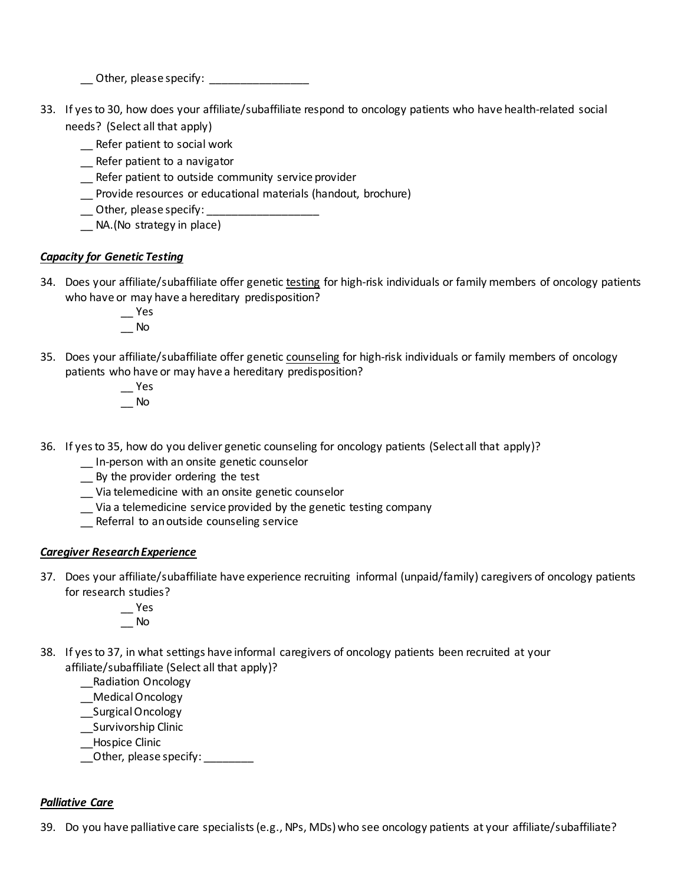\_\_ Other, please specify: \_\_\_\_\_\_\_\_\_\_\_\_\_\_\_\_

- 33. If yes to 30, how does your affiliate/subaffiliate respond to oncology patients who have health-related social needs? (Select all that apply)
	- \_\_ Refer patient to social work
	- \_\_ Refer patient to a navigator
	- \_\_ Refer patient to outside community service provider
	- \_\_ Provide resources or educational materials (handout, brochure)
	- \_\_ Other, please specify: \_\_\_\_\_\_\_\_\_\_\_\_\_\_\_\_\_\_
	- \_\_ NA.(No strategy in place)

### *Capacity for Genetic Testing*

- 34. Does your affiliate/subaffiliate offer genetic testing for high-risk individuals or family members of oncology patients who have or may have a hereditary predisposition?
	- $\overline{\phantom{a}}$  Yes  $\overline{\phantom{a}}$  No
- 35. Does your affiliate/subaffiliate offer genetic counseling for high-risk individuals or family members of oncology patients who have or may have a hereditary predisposition?
	- $\overline{\phantom{a}}$  Yes  $\equiv$  No
- 36. If yes to 35, how do you deliver genetic counseling for oncology patients (Select all that apply)?
	- \_\_ In-person with an onsite genetic counselor
	- \_\_ By the provider ordering the test
	- \_\_ Via telemedicine with an onsite genetic counselor
	- \_\_ Via a telemedicine service provided by the genetic testing company
	- \_\_ Referral to an outside counseling service

### *Caregiver Research Experience*

- 37. Does your affiliate/subaffiliate have experience recruiting informal (unpaid/family) caregivers of oncology patients for research studies?
	- \_\_ Yes \_\_ No
- 38. If yes to 37, in what settings have informal caregivers of oncology patients been recruited at your affiliate/subaffiliate (Select all that apply)?
	- \_\_Radiation Oncology
	- \_\_Medical Oncology
	- \_\_Surgical Oncology
	- \_\_Survivorship Clinic
	- \_\_Hospice Clinic
	- \_\_Other, please specify: \_\_\_\_\_\_\_\_

### *Palliative Care*

39. Do you have palliative care specialists (e.g., NPs, MDs) who see oncology patients at your affiliate/subaffiliate?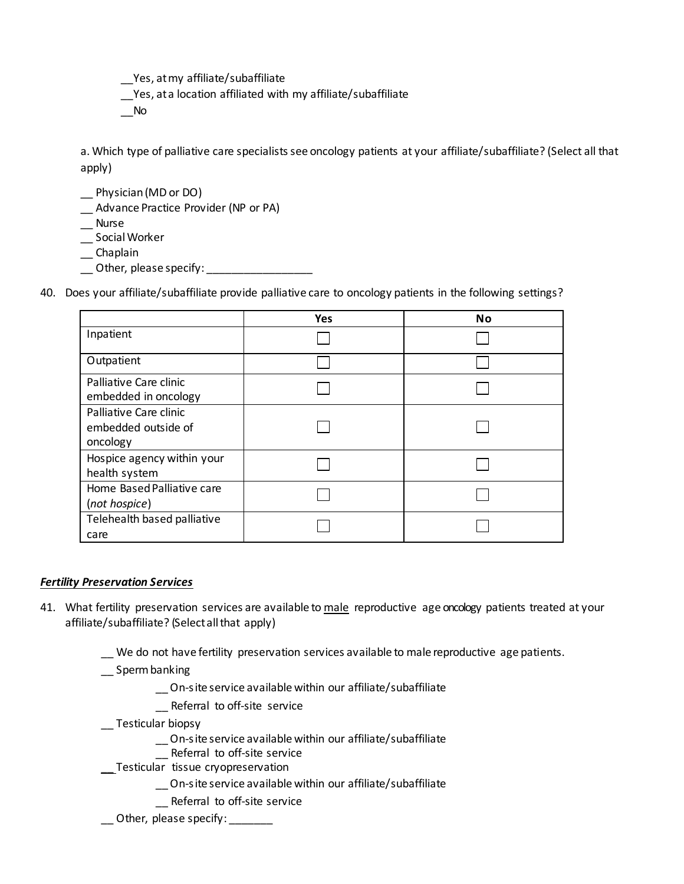\_\_Yes, at my affiliate/subaffiliate

Yes, at a location affiliated with my affiliate/subaffiliate

\_\_No

a. Which type of palliative care specialists see oncology patients at your affiliate/subaffiliate? (Select all that apply)

- \_\_ Physician (MD or DO)
- \_\_ Advance Practice Provider (NP or PA)
- \_\_ Nurse
- \_\_ Social Worker
- \_\_ Chaplain
- \_\_ Other, please specify: \_\_\_\_\_\_\_\_\_\_\_\_\_\_\_\_\_\_\_
- 40. Does your affiliate/subaffiliate provide palliative care to oncology patients in the following settings?

|                                                           | Yes | No |
|-----------------------------------------------------------|-----|----|
| Inpatient                                                 |     |    |
| Outpatient                                                |     |    |
| Palliative Care clinic<br>embedded in oncology            |     |    |
| Palliative Care clinic<br>embedded outside of<br>oncology |     |    |
| Hospice agency within your<br>health system               |     |    |
| Home Based Palliative care<br>(not hospice)               |     |    |
| Telehealth based palliative<br>care                       |     |    |

### *Fertility Preservation Services*

- 41. What fertility preservation services are available to male reproductive age oncology patients treated at your affiliate/subaffiliate? (Select all that apply)
	- \_\_ We do not have fertility preservation services available to male reproductive age patients.
	- \_\_ Spermbanking
		- \_\_ On-site service available within our affiliate/subaffiliate
		- \_\_ Referral to off-site service
	- \_\_ Testicular biopsy
		- \_\_ On-site service available within our affiliate/subaffiliate
		- Referral to off-site service
		- Testicular tissue cryopreservation
			- \_\_ On-site service available within our affiliate/subaffiliate
			- \_\_ Referral to off-site service
	- Other, please specify: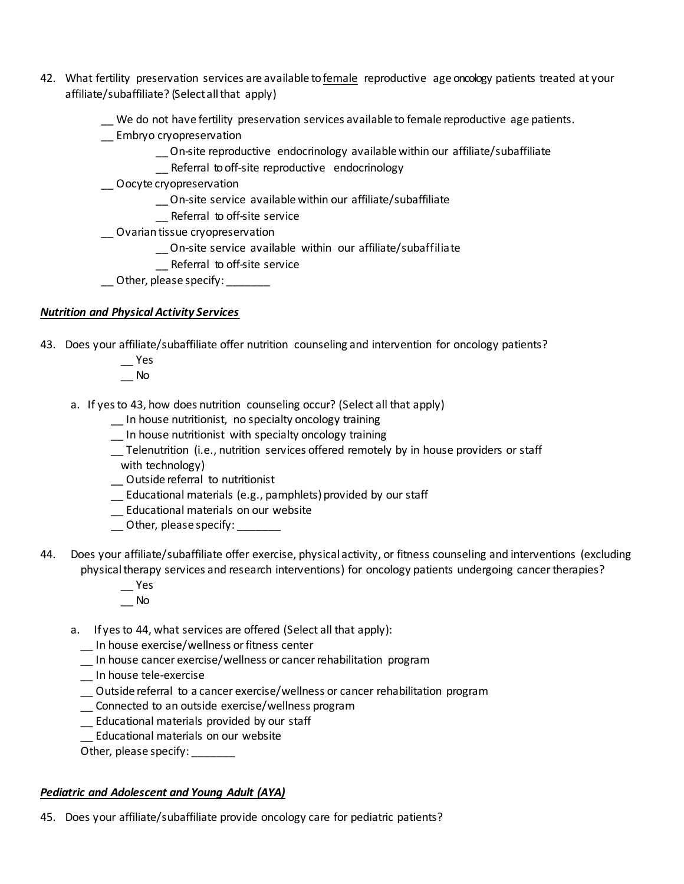- 42. What fertility preservation services are available tofemale reproductive age oncology patients treated at your affiliate/subaffiliate? (Select all that apply)
	- We do not have fertility preservation services available to female reproductive age patients.
	- \_\_ Embryo cryopreservation
		- \_\_ On-site reproductive endocrinology available within our affiliate/subaffiliate
		- Referral to off-site reproductive endocrinology
	- \_\_ Oocyte cryopreservation
		- \_\_ On-site service available within our affiliate/subaffiliate
		- \_\_ Referral to off-site service
	- \_\_ Ovariantissue cryopreservation
		- \_\_ On-site service available within our affiliate/subaffiliate
		- Referral to off-site service
	- $\Box$  Other, please specify:  $\Box$

## *Nutrition and Physical Activity Services*

- 43. Does your affiliate/subaffiliate offer nutrition counseling and intervention for oncology patients?
	- \_\_ Yes
	- \_\_ No
	- a. If yes to 43, how does nutrition counseling occur? (Select all that apply)
		- \_\_ In house nutritionist, no specialty oncology training
		- \_\_ In house nutritionist with specialty oncology training
		- \_\_ Telenutrition (i.e., nutrition services offered remotely by in house providers or staff
		- with technology)
		- \_\_ Outside referral to nutritionist
		- \_\_ Educational materials (e.g., pamphlets) provided by our staff
		- \_\_ Educational materials on our website
		- \_\_ Other, please specify: \_\_\_\_\_\_\_
- 44. Does your affiliate/subaffiliate offer exercise, physical activity, or fitness counseling and interventions (excluding physical therapy services and research interventions) for oncology patients undergoing cancer therapies?
	- $\mathsf{L}$  Yes  $\overline{\phantom{a}}$  No
	- a. If yesto 44, what services are offered (Select all that apply):
		- \_\_ In house exercise/wellness or fitness center
		- \_\_ In house cancer exercise/wellness or cancer rehabilitation program
		- \_\_ In house tele-exercise
		- \_\_ Outside referral to a cancer exercise/wellness or cancer rehabilitation program
		- \_\_ Connected to an outside exercise/wellness program
		- \_\_ Educational materials provided by our staff
		- \_\_ Educational materials on our website
		- Other, please specify: \_\_\_\_\_\_\_

### *Pediatric and Adolescent and Young Adult (AYA)*

45. Does your affiliate/subaffiliate provide oncology care for pediatric patients?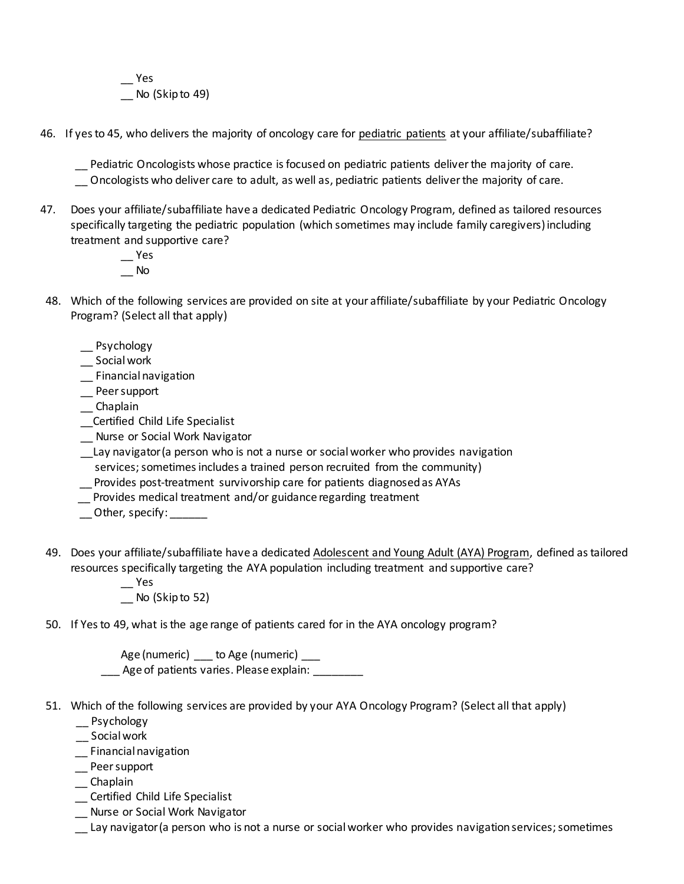\_\_ Yes No (Skip to 49)

46. If yes to 45, who delivers the majority of oncology care for pediatric patients at your affiliate/subaffiliate?

\_\_ Pediatric Oncologists whose practice is focused on pediatric patients deliver the majority of care. \_\_ Oncologists who deliver care to adult, as well as, pediatric patients deliver the majority of care.

- 47. Does your affiliate/subaffiliate have a dedicated Pediatric Oncology Program, defined as tailored resources specifically targeting the pediatric population (which sometimes may include family caregivers) including treatment and supportive care?
	- $-$  Yes  $\overline{\phantom{a}}$  No
- 48. Which of the following services are provided on site at your affiliate/subaffiliate by your Pediatric Oncology Program? (Select all that apply)
	- \_\_ Psychology
	- \_\_ Social work
	- \_\_ Financial navigation
	- \_\_ Peer support
	- \_\_ Chaplain
	- \_\_Certified Child Life Specialist
	- \_\_ Nurse or Social Work Navigator
	- \_\_Lay navigator (a person who is not a nurse or social worker who provides navigation services; sometimes includes a trained person recruited from the community)
	- \_\_ Provides post-treatment survivorship care for patients diagnosed as AYAs
	- \_\_ Provides medical treatment and/or guidance regarding treatment
	- \_\_Other, specify: \_\_\_\_\_\_
- 49. Does your affiliate/subaffiliate have a dedicated Adolescent and Young Adult (AYA) Program, defined as tailored resources specifically targeting the AYA population including treatment and supportive care?
	- $-$  Yes No (Skip to 52)
- 50. If Yes to 49, what is the age range of patients cared for in the AYA oncology program?

Age (numeric) \_\_\_ to Age (numeric) \_\_\_ Age of patients varies. Please explain:

- 51. Which of the following services are provided by your AYA Oncology Program? (Select all that apply)
	- \_\_ Psychology
	- \_\_ Social work
	- \_\_ Financial navigation
	- \_\_ Peer support
	- \_\_ Chaplain
	- \_\_ Certified Child Life Specialist
	- \_\_ Nurse or Social Work Navigator
	- \_\_ Lay navigator (a person who is not a nurse or social worker who provides navigation services; sometimes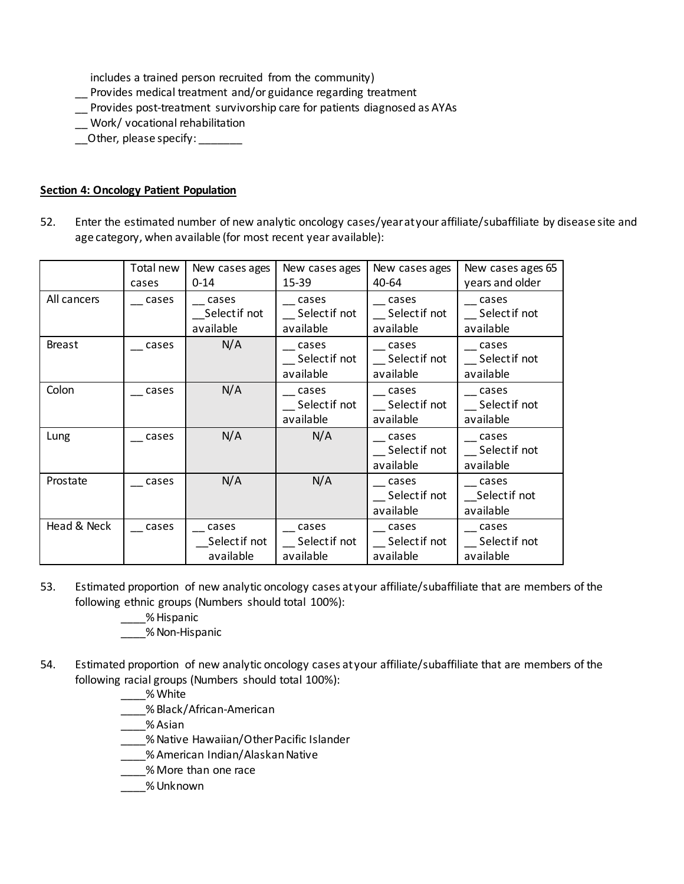includes a trained person recruited from the community)

\_\_ Provides medical treatment and/or guidance regarding treatment

- \_\_ Provides post-treatment survivorship care for patients diagnosed as AYAs
- \_\_ Work/ vocational rehabilitation
- \_\_Other, please specify: \_\_\_\_\_\_\_

### **Section 4: Oncology Patient Population**

52. Enter the estimated number of new analytic oncology cases/year at your affiliate/subaffiliate by disease site and age category, when available (for most recent year available):

|               | Total new<br>cases | New cases ages<br>$0 - 14$          | New cases ages<br>15-39                      | New cases ages<br>40-64                                      | New cases ages 65<br>years and older |
|---------------|--------------------|-------------------------------------|----------------------------------------------|--------------------------------------------------------------|--------------------------------------|
| All cancers   | cases              | cases<br>Selectif not<br>available  | cases<br>__ Select if not<br>available       | cases<br>Select if not<br>available                          | cases<br>Select if not<br>available  |
| <b>Breast</b> | cases              | N/A                                 | cases<br>Select if not<br>available          | cases<br>Select if not<br>available                          | cases<br>Select if not<br>available  |
| Colon         | cases              | N/A                                 | cases<br>Select if not<br>available          | cases<br>Select if not<br>available                          | cases<br>Select if not<br>available  |
| Lung          | cases              | N/A                                 | N/A                                          | cases<br>Select if not<br>available                          | cases<br>Select if not<br>available  |
| Prostate      | cases              | N/A                                 | N/A                                          | cases<br>Select if not<br>available                          | cases<br>Selectif not<br>available   |
| Head & Neck   | cases              | cases<br>Select if not<br>available | $\equiv$ cases<br>_Selectif not<br>available | $\overline{\phantom{a}}$ cases<br>Select if not<br>available | cases<br>Select if not<br>available  |

- 53. Estimated proportion of new analytic oncology cases at your affiliate/subaffiliate that are members of the following ethnic groups (Numbers should total 100%):
	- \_\_\_\_% Hispanic
	- \_\_\_\_% Non-Hispanic
- 54. Estimated proportion of new analytic oncology cases at your affiliate/subaffiliate that are members of the following racial groups (Numbers should total 100%):
	- \_\_\_\_% White
	- \_\_\_\_% Black/African-American
	- \_\_\_\_% Asian
	- \_\_\_\_% Native Hawaiian/Other Pacific Islander
	- \_\_\_\_% American Indian/Alaskan Native
	- \_\_\_\_% More than one race
	- \_\_\_\_% Unknown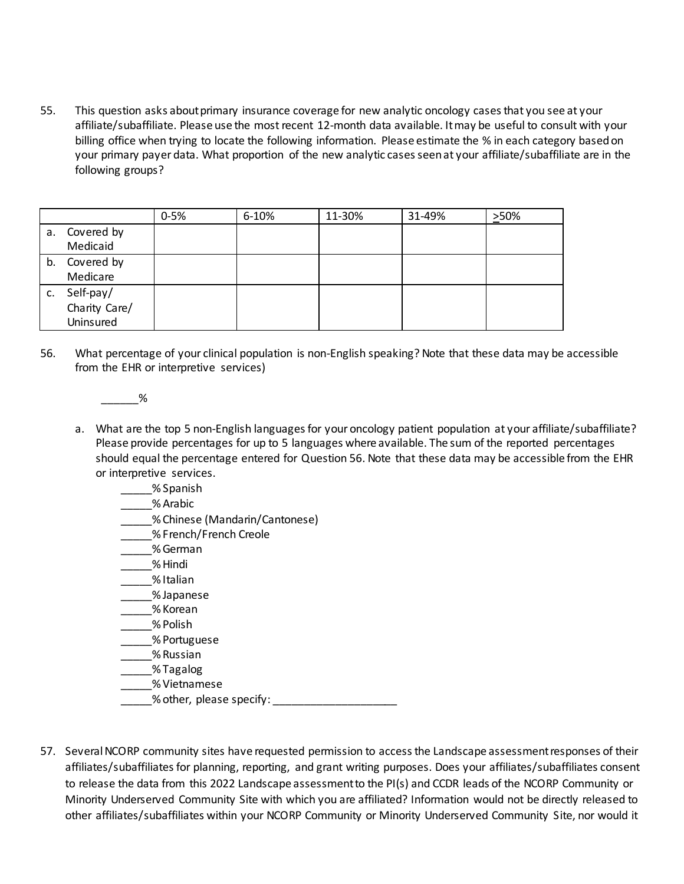55. This question asks about primary insurance coverage for new analytic oncology cases that you see at your affiliate/subaffiliate. Please use the most recent 12-month data available. It may be useful to consult with your billing office when trying to locate the following information. Please estimate the % in each category based on your primary payer data. What proportion of the new analytic cases seen at your affiliate/subaffiliate are in the following groups?

|    |                                         | $0 - 5%$ | 6-10% | 11-30% | 31-49% | >50% |
|----|-----------------------------------------|----------|-------|--------|--------|------|
| а. | Covered by<br>Medicaid                  |          |       |        |        |      |
| b. | Covered by<br>Medicare                  |          |       |        |        |      |
| c. | Self-pay/<br>Charity Care/<br>Uninsured |          |       |        |        |      |

- 56. What percentage of your clinical population is non-English speaking? Note that these data may be accessible from the EHR or interpretive services)
	- $%$
	- a. What are the top 5 non-English languages for your oncology patient population at your affiliate/subaffiliate? Please provide percentages for up to 5 languages where available. The sum of the reported percentages should equal the percentage entered for Question 56. Note that these data may be accessible from the EHR or interpretive services.
		- \_\_\_\_\_% Spanish
		- \_\_\_\_\_% Arabic
		- \_\_\_\_\_% Chinese (Mandarin/Cantonese)
		- \_\_\_\_\_% French/French Creole
		- \_\_\_\_\_% German
		- \_\_\_\_\_% Hindi
		- \_\_\_\_\_% Italian
		- \_\_\_\_\_% Japanese
		- \_\_\_\_\_% Korean
		- \_\_\_\_\_% Polish
		- \_\_\_\_\_% Portuguese
		- \_\_\_\_\_% Russian
		- \_\_\_\_\_% Tagalog
		- \_\_\_\_\_% Vietnamese
		- % other, please specify:
- 57. Several NCORP community sites have requested permission to access the Landscape assessment responses of their affiliates/subaffiliates for planning, reporting, and grant writing purposes. Does your affiliates/subaffiliates consent to release the data from this 2022 Landscape assessment to the PI(s) and CCDR leads of the NCORP Community or Minority Underserved Community Site with which you are affiliated? Information would not be directly released to other affiliates/subaffiliates within your NCORP Community or Minority Underserved Community Site, nor would it